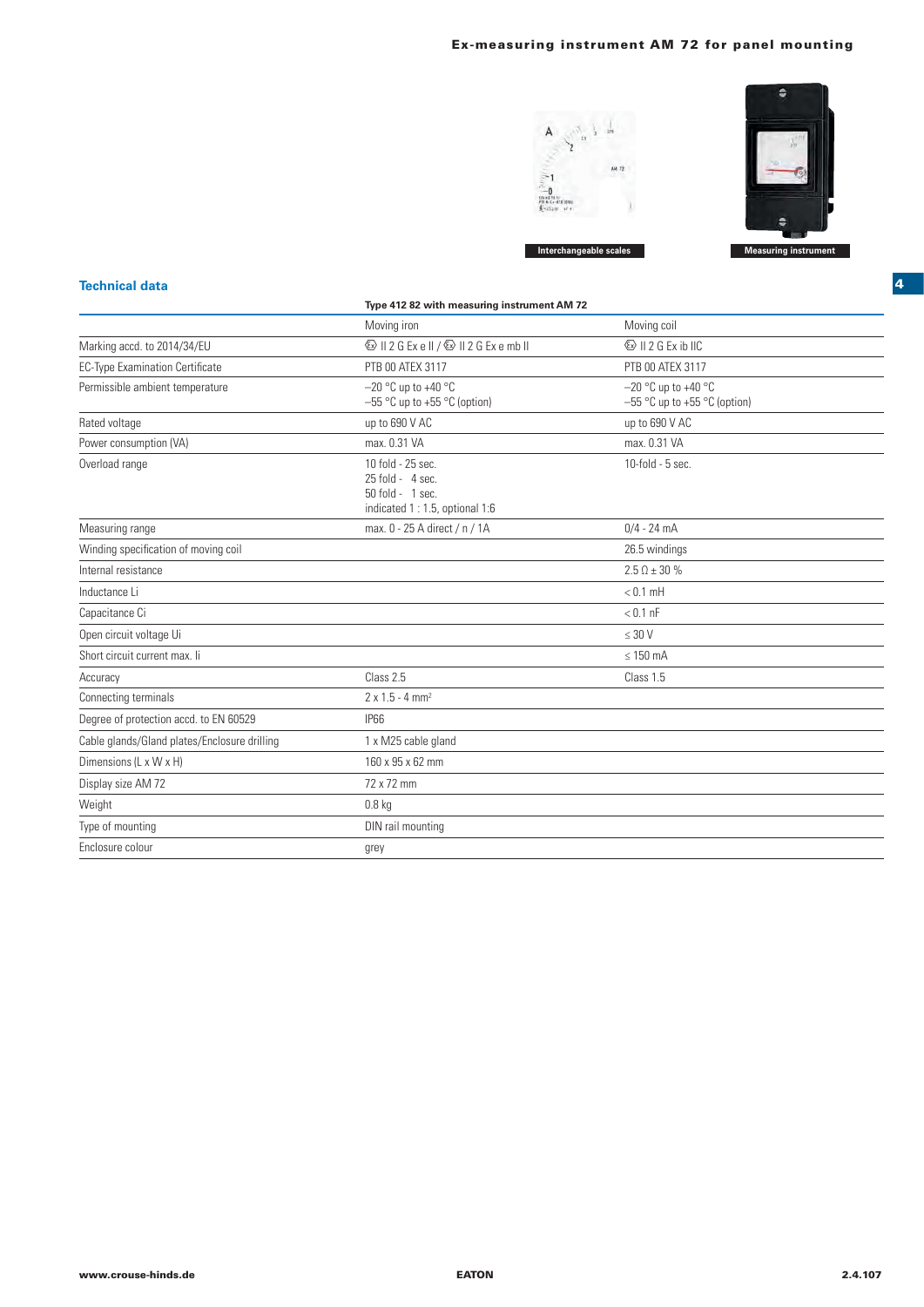## **Ex-measuring instrument AM 72 for panel mounting**





**Technical data**

|                                              | Type 412 82 with measuring instrument AM 72                                                  |                                                         |
|----------------------------------------------|----------------------------------------------------------------------------------------------|---------------------------------------------------------|
|                                              | Moving iron                                                                                  | Moving coil                                             |
| Marking accd. to 2014/34/EU                  | ⓒ II 2 G Ex e II / ⓒ II 2 G Ex e mb II                                                       | <b>&amp; II 2 G Ex ib IIC</b>                           |
| <b>EC-Type Examination Certificate</b>       | PTB 00 ATEX 3117                                                                             | PTB 00 ATEX 3117                                        |
| Permissible ambient temperature              | $-20$ °C up to +40 °C<br>$-55$ °C up to +55 °C (option)                                      | $-20$ °C up to +40 °C<br>$-55$ °C up to +55 °C (option) |
| Rated voltage                                | up to 690 V AC                                                                               | up to 690 V AC                                          |
| Power consumption (VA)                       | max. 0.31 VA                                                                                 | max. 0.31 VA                                            |
| Overload range                               | 10 fold - 25 sec.<br>$25$ fold - 4 sec.<br>50 fold - 1 sec.<br>indicated 1:1.5, optional 1:6 | 10-fold - 5 sec.                                        |
| Measuring range                              | max. 0 - 25 A direct / n / 1A                                                                | $0/4 - 24$ mA                                           |
| Winding specification of moving coil         |                                                                                              | 26.5 windings                                           |
| Internal resistance                          |                                                                                              | $2.5 \Omega \pm 30 \%$                                  |
| Inductance Li                                |                                                                                              | $< 0.1$ mH                                              |
| Capacitance Ci                               |                                                                                              | $< 0.1$ nF                                              |
| Open circuit voltage Ui                      |                                                                                              | $\leq 30$ V                                             |
| Short circuit current max. Ii                |                                                                                              | $\leq$ 150 mA                                           |
| Accuracy                                     | Class 2.5                                                                                    | Class 1.5                                               |
| Connecting terminals                         | $2 \times 1.5 - 4$ mm <sup>2</sup>                                                           |                                                         |
| Degree of protection accd. to EN 60529       | <b>IP66</b>                                                                                  |                                                         |
| Cable glands/Gland plates/Enclosure drilling | 1 x M25 cable gland                                                                          |                                                         |
| Dimensions (L x W x H)                       | 160 x 95 x 62 mm                                                                             |                                                         |
| Display size AM 72                           | 72 x 72 mm                                                                                   |                                                         |
| Weight                                       | $0.8$ kg                                                                                     |                                                         |
| Type of mounting                             | DIN rail mounting                                                                            |                                                         |
| Enclosure colour                             | grey                                                                                         |                                                         |

**4**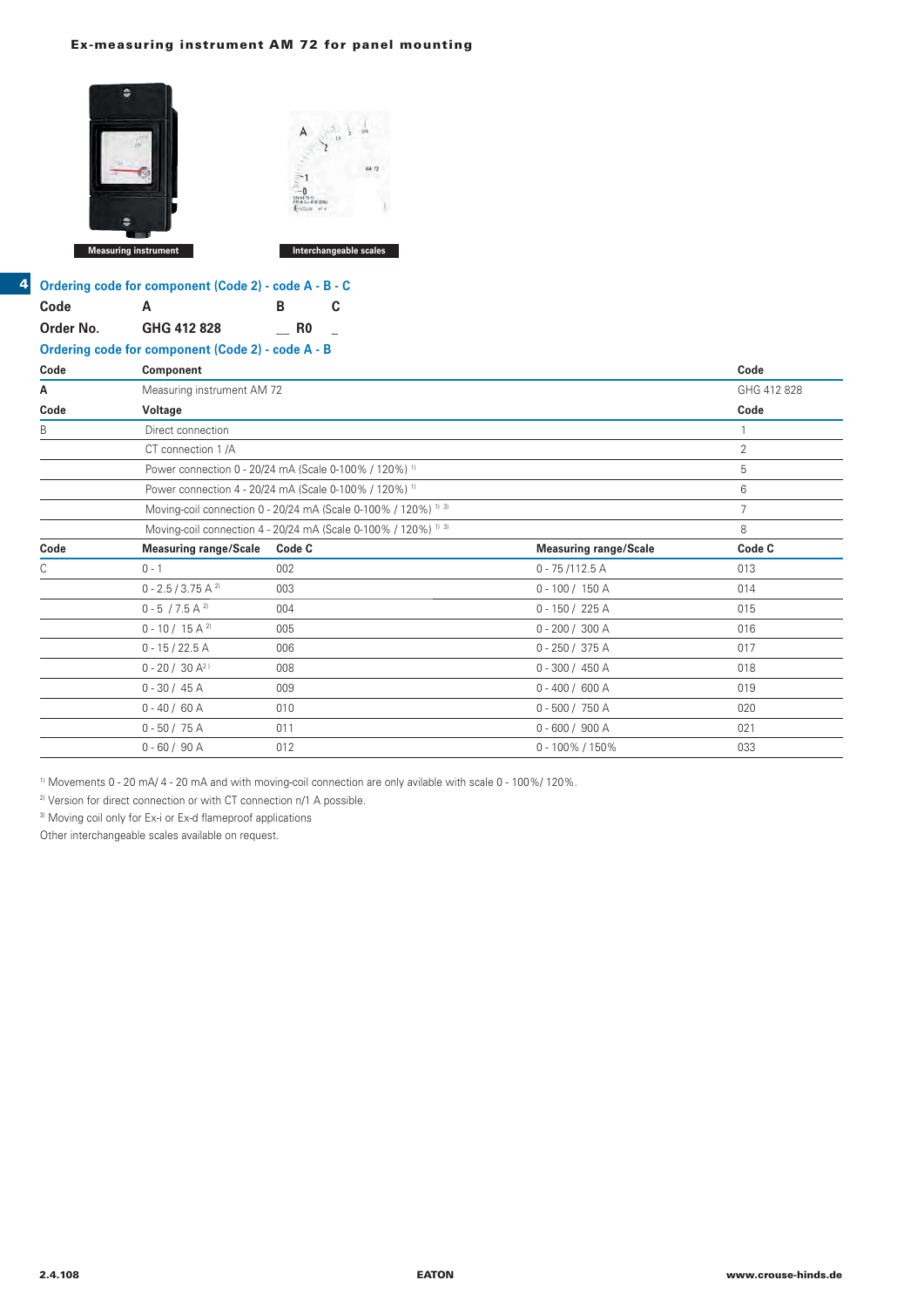## **Ex-measuring instrument AM 72 for panel mounting**



|      | dering code for component (Code 2 |  |
|------|-----------------------------------|--|
| ہ اہ |                                   |  |

**4**

|           | Ordering code for component (Code 2) - code A - B - C                                                                                                                     |            |                                                                 |                                 |      |
|-----------|---------------------------------------------------------------------------------------------------------------------------------------------------------------------------|------------|-----------------------------------------------------------------|---------------------------------|------|
| Code      | A                                                                                                                                                                         | В          | C                                                               |                                 |      |
| Order No. | GHG 412 828                                                                                                                                                               | R0         |                                                                 |                                 |      |
|           | Ordering code for component (Code 2) - code A - B                                                                                                                         |            |                                                                 |                                 |      |
| Code      | Component                                                                                                                                                                 |            |                                                                 |                                 | Code |
| А         | Measuring instrument AM 72                                                                                                                                                |            |                                                                 |                                 | GHG  |
| Code      | Voltage                                                                                                                                                                   |            |                                                                 |                                 | Code |
| B         | Direct connection                                                                                                                                                         |            |                                                                 |                                 |      |
|           | CT connection 1/A                                                                                                                                                         |            |                                                                 |                                 | 2    |
|           | Power connection 0 - 20/24 mA (Scale 0-100% / 120%) <sup>1)</sup>                                                                                                         |            |                                                                 |                                 | 5    |
|           | Power connection 4 - 20/24 mA (Scale 0-100% / 120%) <sup>1)</sup>                                                                                                         |            |                                                                 |                                 | 6    |
|           |                                                                                                                                                                           |            | Moving-coil connection 0 - 20/24 mA (Scale 0-100% / 120%) 11.31 |                                 |      |
|           |                                                                                                                                                                           |            | Moving-coil connection 4 - 20/24 mA (Scale 0-100% / 120%) 11.31 |                                 | 8    |
| Code      | <b>Measuring range/Scale</b>                                                                                                                                              | Code C     |                                                                 | <b>Measuring range/Scale</b>    | Code |
| С         | $0 - 1$                                                                                                                                                                   | 002        |                                                                 | $0 - 75/112.5$ A                | 013  |
|           | $\bigcap$ $\bigcap$ $\bigcap$ $\bigcap$ $\bigcap$ $\bigcap$ $\bigcap$ $\bigcap$ $\bigcap$ $\bigcap$ $\bigcap$ $\bigcap$ $\bigcap$ $\bigcap$ $\bigcap$ $\bigcap$ $\bigcap$ | <b>UUS</b> |                                                                 | $\bigcap$ 100 / 150 $\bigwedge$ | 011  |

| А    | Measuring instrument AM 72                                      |                                                                   |                              | GHG 412 828 |  |  |
|------|-----------------------------------------------------------------|-------------------------------------------------------------------|------------------------------|-------------|--|--|
| Code | Voltage                                                         |                                                                   |                              | Code        |  |  |
| B    | Direct connection                                               |                                                                   |                              |             |  |  |
|      | CT connection 1 /A                                              |                                                                   |                              | 2           |  |  |
|      |                                                                 | Power connection 0 - 20/24 mA (Scale 0-100% / 120%) <sup>1)</sup> |                              |             |  |  |
|      |                                                                 | Power connection 4 - 20/24 mA (Scale 0-100% / 120%) <sup>1)</sup> |                              |             |  |  |
|      | Moving-coil connection 0 - 20/24 mA (Scale 0-100% / 120%) 11-31 | 7                                                                 |                              |             |  |  |
|      | Moving-coil connection 4 - 20/24 mA (Scale 0-100% / 120%) 11-31 | 8                                                                 |                              |             |  |  |
| Code | <b>Measuring range/Scale</b>                                    | Code C                                                            | <b>Measuring range/Scale</b> | Code C      |  |  |
| С    | $0 - 1$                                                         | 002                                                               | $0 - 75/112.5 A$             | 013         |  |  |
|      | $0 - 2.5 / 3.75 A^{2}$                                          | 003                                                               | $0 - 100 / 150 A$            | 014         |  |  |
|      | $0 - 5 / 7.5 A^{2}$                                             | 004                                                               | $0 - 150 / 225 A$            | 015         |  |  |
|      | $0 - 10 / 15 A^{2}$                                             | 005                                                               | $0 - 200 / 300 A$            | 016         |  |  |
|      | $0 - 15 / 22.5 A$                                               | 006                                                               | $0 - 250 / 375 A$            | 017         |  |  |
|      | $0 - 20 / 30 A^{2}$                                             | 008                                                               | $0 - 300 / 450 A$            | 018         |  |  |
|      | $0 - 30 / 45 A$                                                 | 009                                                               | $0 - 400 / 600 A$            | 019         |  |  |
|      | $0 - 40 / 60 A$                                                 | 010                                                               | $0 - 500 / 750 A$            | 020         |  |  |
|      | $0 - 50 / 75 A$                                                 | 011                                                               | $0 - 600 / 900 A$            | 021         |  |  |
|      | $0 - 60 / 90 A$                                                 | 012                                                               | $0 - 100\% / 150\%$          | 033         |  |  |

1) Movements 0 - 20 mA/ 4 - 20 mA and with moving-coil connection are only avilable with scale 0 - 100%/ 120%.

2) Version for direct connection or with CT connection n/1 A possible.

3) Moving coil only for Ex-i or Ex-d flameproof applications

Other interchangeable scales available on request.